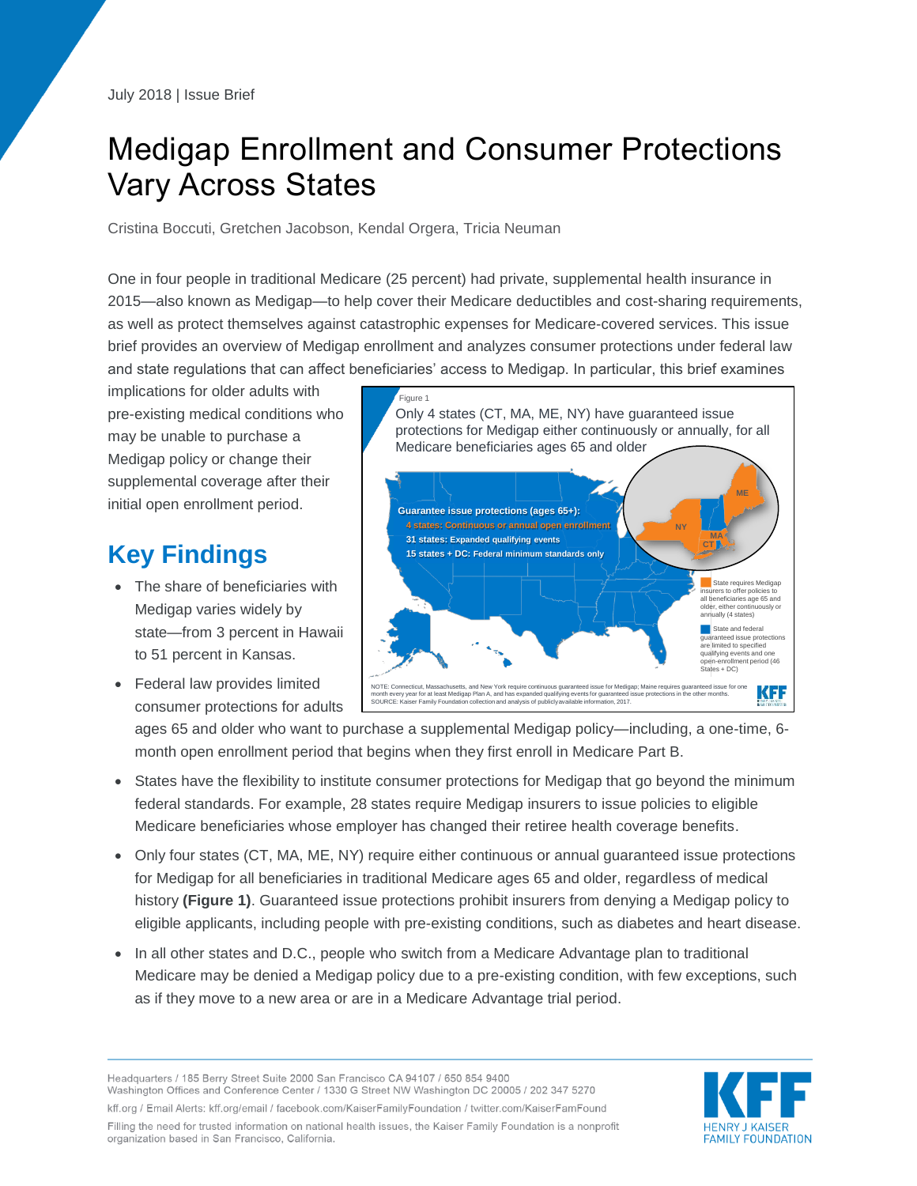# Medigap Enrollment and Consumer Protections Vary Across States

Cristina Boccuti, Gretchen Jacobson, Kendal Orgera, Tricia Neuman

One in four people in traditional Medicare (25 percent) had private, supplemental health insurance in 2015—also known as Medigap—to help cover their Medicare deductibles and cost-sharing requirements, as well as protect themselves against catastrophic expenses for Medicare-covered services. This issue brief provides an overview of Medigap enrollment and analyzes consumer protections under federal law and state regulations that can affect beneficiaries' access to Medigap. In particular, this brief examines

implications for older adults with pre-existing medical conditions who may be unable to purchase a Medigap policy or change their supplemental coverage after their initial open enrollment period.

# **Key Findings**

- The share of beneficiaries with Medigap varies widely by state—from 3 percent in Hawaii to 51 percent in Kansas.
- Federal law provides limited consumer protections for adults

Figure 1 Only 4 states (CT, MA, ME, NY) have guaranteed issue protections for Medigap either continuously or annually, for all Medicare beneficiaries ages 65 and older **Guarantee issue protections (ages 65+): NY MA 31 states: Expanded qualifying events CT 15 states + DC: Federal minimum standards only** State requires Medigap insurers to offer policies to all beneficiaries age 65 and older, either continuously or annually (4 states)State and federal aranteed issue protections are limited to specified qualifying events and one ment period (46 States + DC) KFF NOTE: Connecticut, Massachusetts, and New York require continuous guaranteed issue for Medigap; Maine requires guaranteed issue for one<br>month every year for at least Medigap Plan A, and has expanded qualifying events for g

ages 65 and older who want to purchase a supplemental Medigap policy—including, a one-time, 6 month open enrollment period that begins when they first enroll in Medicare Part B.

- States have the flexibility to institute consumer protections for Medigap that go beyond the minimum federal standards. For example, 28 states require Medigap insurers to issue policies to eligible Medicare beneficiaries whose employer has changed their retiree health coverage benefits.
- Only four states (CT, MA, ME, NY) require either continuous or annual guaranteed issue protections for Medigap for all beneficiaries in traditional Medicare ages 65 and older, regardless of medical history **(Figure 1)**. Guaranteed issue protections prohibit insurers from denying a Medigap policy to eligible applicants, including people with pre-existing conditions, such as diabetes and heart disease.
- In all other states and D.C., people who switch from a Medicare Advantage plan to traditional Medicare may be denied a Medigap policy due to a pre-existing condition, with few exceptions, such as if they move to a new area or are in a Medicare Advantage trial period.

Headquarters / 185 Berry Street Suite 2000 San Francisco CA 94107 / 650 854 9400 Washington Offices and Conference Center / 1330 G Street NW Washington DC 20005 / 202 347 5270 kff.org / Email Alerts: kff.org/email / facebook.com/KaiserFamilyFoundation / twitter.com/KaiserFamFound Filling the need for trusted information on national health issues, the Kaiser Family Foundation is a nonprofit organization based in San Francisco, California.

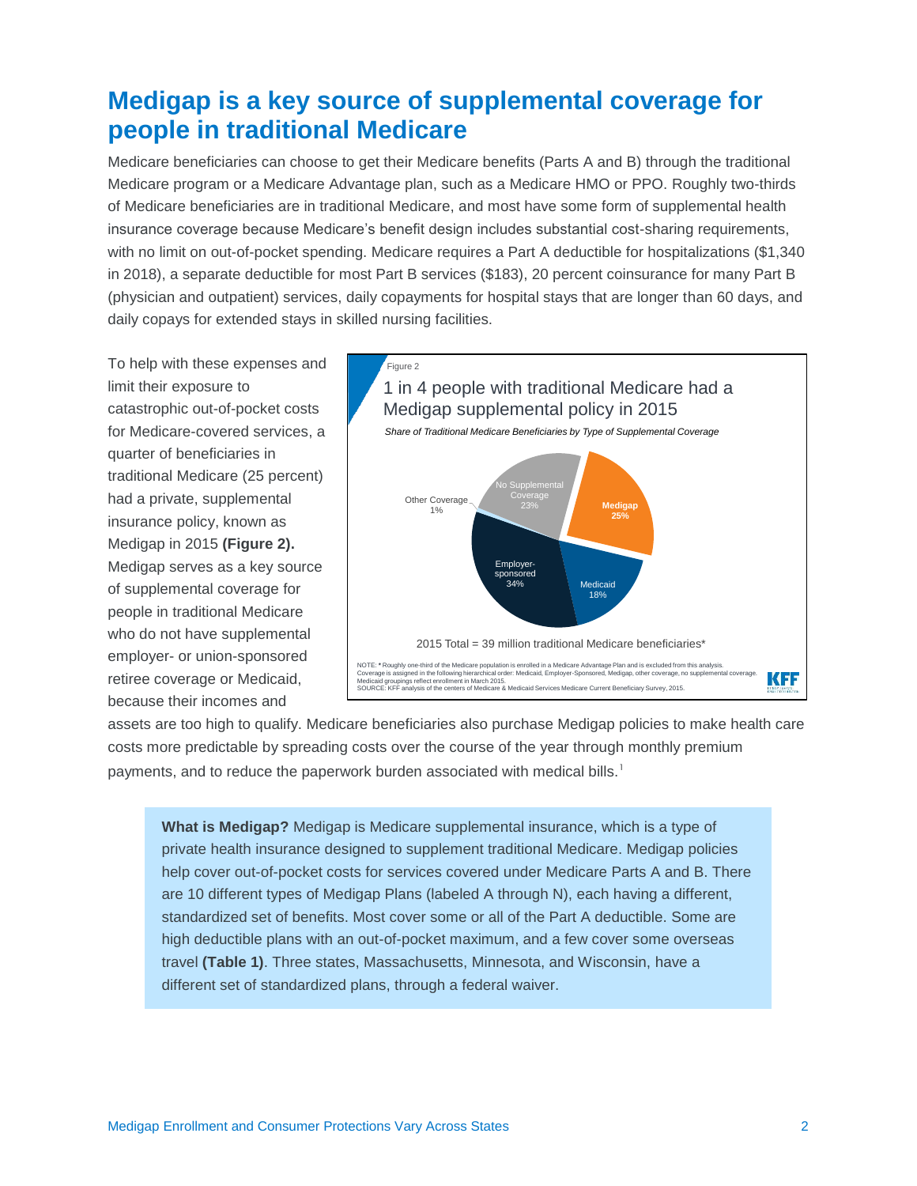### **Medigap is a key source of supplemental coverage for people in traditional Medicare**

Medicare beneficiaries can choose to get their Medicare benefits (Parts A and B) through the traditional Medicare program or a Medicare Advantage plan, such as a Medicare HMO or PPO. Roughly two-thirds of Medicare beneficiaries are in traditional Medicare, and most have some form of supplemental health insurance coverage because Medicare's benefit design includes substantial cost-sharing requirements, with no limit on out-of-pocket spending. Medicare requires a Part A deductible for hospitalizations (\$1,340) in 2018), a separate deductible for most Part B services (\$183), 20 percent coinsurance for many Part B (physician and outpatient) services, daily copayments for hospital stays that are longer than 60 days, and daily copays for extended stays in skilled nursing facilities.

To help with these expenses and limit their exposure to catastrophic out-of-pocket costs for Medicare-covered services, a quarter of beneficiaries in traditional Medicare (25 percent) had a private, supplemental insurance policy, known as Medigap in 2015 **(Figure 2).** Medigap serves as a key source of supplemental coverage for people in traditional Medicare who do not have supplemental employer- or union-sponsored retiree coverage or Medicaid, because their incomes and



assets are too high to qualify. Medicare beneficiaries also purchase Medigap policies to make health care costs more predictable by spreading costs over the course of the year through monthly premium payments, and to reduce the paperwork burden associated with medical bills.<sup>1</sup>

**What is Medigap?** Medigap is Medicare supplemental insurance, which is a type of private health insurance designed to supplement traditional Medicare. Medigap policies help cover out-of-pocket costs for services covered under Medicare Parts A and B. There are 10 different types of Medigap Plans (labeled A through N), each having a different, standardized set of benefits. Most cover some or all of the Part A deductible. Some are high deductible plans with an out-of-pocket maximum, and a few cover some overseas travel **(Table 1)**. Three states, Massachusetts, Minnesota, and Wisconsin, have a different set of standardized plans, through a federal waiver.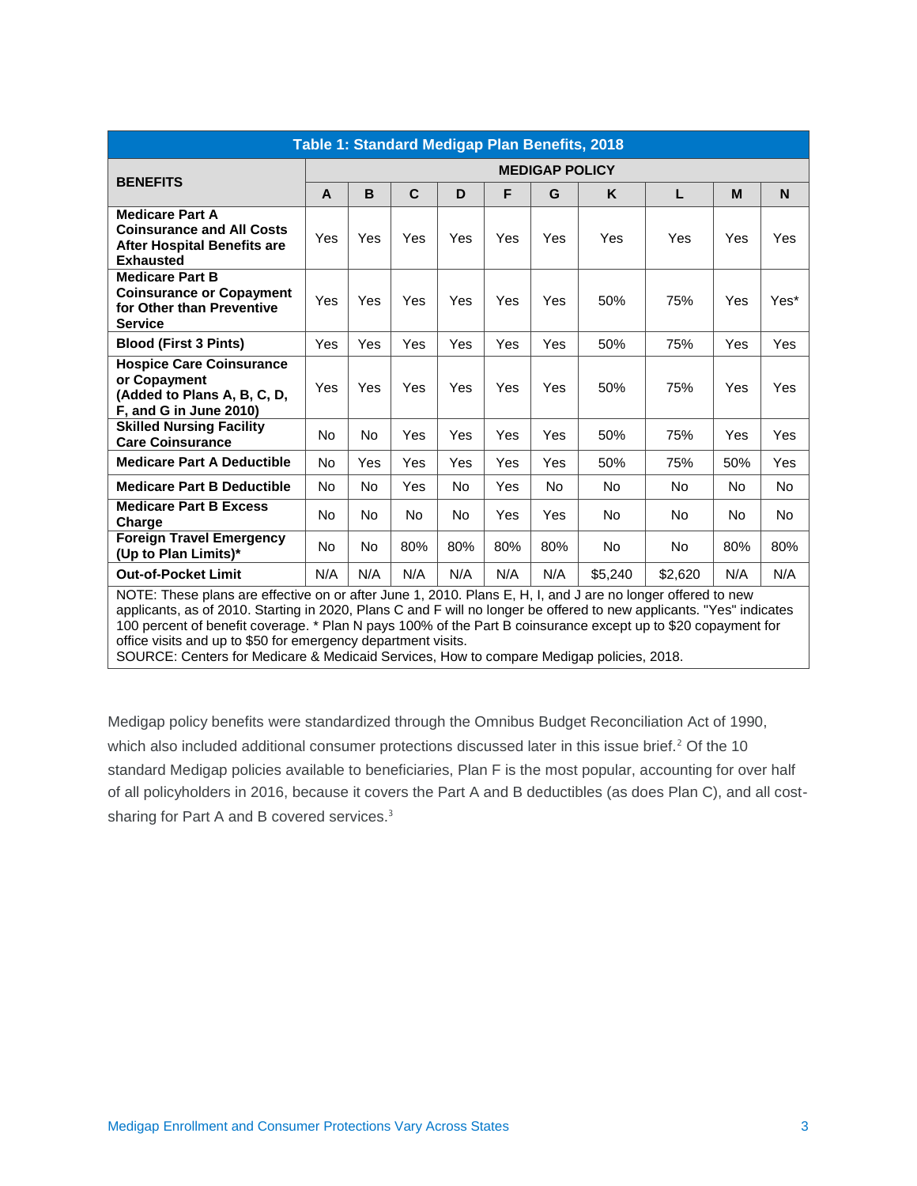| Table 1: Standard Medigap Plan Benefits, 2018                                                                        |                       |     |             |     |     |     |         |         |           |      |
|----------------------------------------------------------------------------------------------------------------------|-----------------------|-----|-------------|-----|-----|-----|---------|---------|-----------|------|
|                                                                                                                      | <b>MEDIGAP POLICY</b> |     |             |     |     |     |         |         |           |      |
| <b>BENEFITS</b>                                                                                                      | A                     | B   | $\mathbf C$ | D   | F   | G   | K       | L       | M         | N    |
| <b>Medicare Part A</b><br><b>Coinsurance and All Costs</b><br><b>After Hospital Benefits are</b><br><b>Exhausted</b> | Yes                   | Yes | Yes         | Yes | Yes | Yes | Yes     | Yes     | Yes       | Yes  |
| <b>Medicare Part B</b><br><b>Coinsurance or Copayment</b><br>for Other than Preventive<br><b>Service</b>             | Yes                   | Yes | Yes         | Yes | Yes | Yes | 50%     | 75%     | Yes       | Yes* |
| <b>Blood (First 3 Pints)</b>                                                                                         | Yes                   | Yes | Yes         | Yes | Yes | Yes | 50%     | 75%     | Yes       | Yes  |
| <b>Hospice Care Coinsurance</b><br>or Copayment<br>(Added to Plans A, B, C, D,<br>F, and G in June 2010)             | Yes                   | Yes | Yes         | Yes | Yes | Yes | 50%     | 75%     | Yes       | Yes  |
| <b>Skilled Nursing Facility</b><br><b>Care Coinsurance</b>                                                           | No                    | No  | Yes         | Yes | Yes | Yes | 50%     | 75%     | Yes       | Yes  |
| <b>Medicare Part A Deductible</b>                                                                                    | <b>No</b>             | Yes | Yes         | Yes | Yes | Yes | 50%     | 75%     | 50%       | Yes  |
| <b>Medicare Part B Deductible</b>                                                                                    | <b>No</b>             | No  | Yes         | No  | Yes | No  | No      | No.     | No.       | No.  |
| <b>Medicare Part B Excess</b><br>Charge                                                                              | <b>No</b>             | No  | No          | No  | Yes | Yes | No      | No      | <b>No</b> | No.  |
| <b>Foreign Travel Emergency</b><br>(Up to Plan Limits)*                                                              | <b>No</b>             | No  | 80%         | 80% | 80% | 80% | No      | No.     | 80%       | 80%  |
| <b>Out-of-Pocket Limit</b>                                                                                           | N/A                   | N/A | N/A         | N/A | N/A | N/A | \$5,240 | \$2,620 | N/A       | N/A  |
| NOTE: These plans are effective on or after June 1, 2010. Plans E, H, I, and J are no longer offered to new          |                       |     |             |     |     |     |         |         |           |      |

applicants, as of 2010. Starting in 2020, Plans C and F will no longer be offered to new applicants. "Yes" indicates 100 percent of benefit coverage. \* Plan N pays 100% of the Part B coinsurance except up to \$20 copayment for office visits and up to \$50 for emergency department visits.

SOURCE: Centers for Medicare & Medicaid Services, How to compare Medigap policies, 2018.

Medigap policy benefits were standardized through the Omnibus Budget Reconciliation Act of 1990, which also included additional consumer protections discussed later in this issue brief. $<sup>2</sup>$  Of the 10</sup> standard Medigap policies available to beneficiaries, Plan F is the most popular, accounting for over half of all policyholders in 2016, because it covers the Part A and B deductibles (as does Plan C), and all costsharing for Part A and B covered services.<sup>3</sup>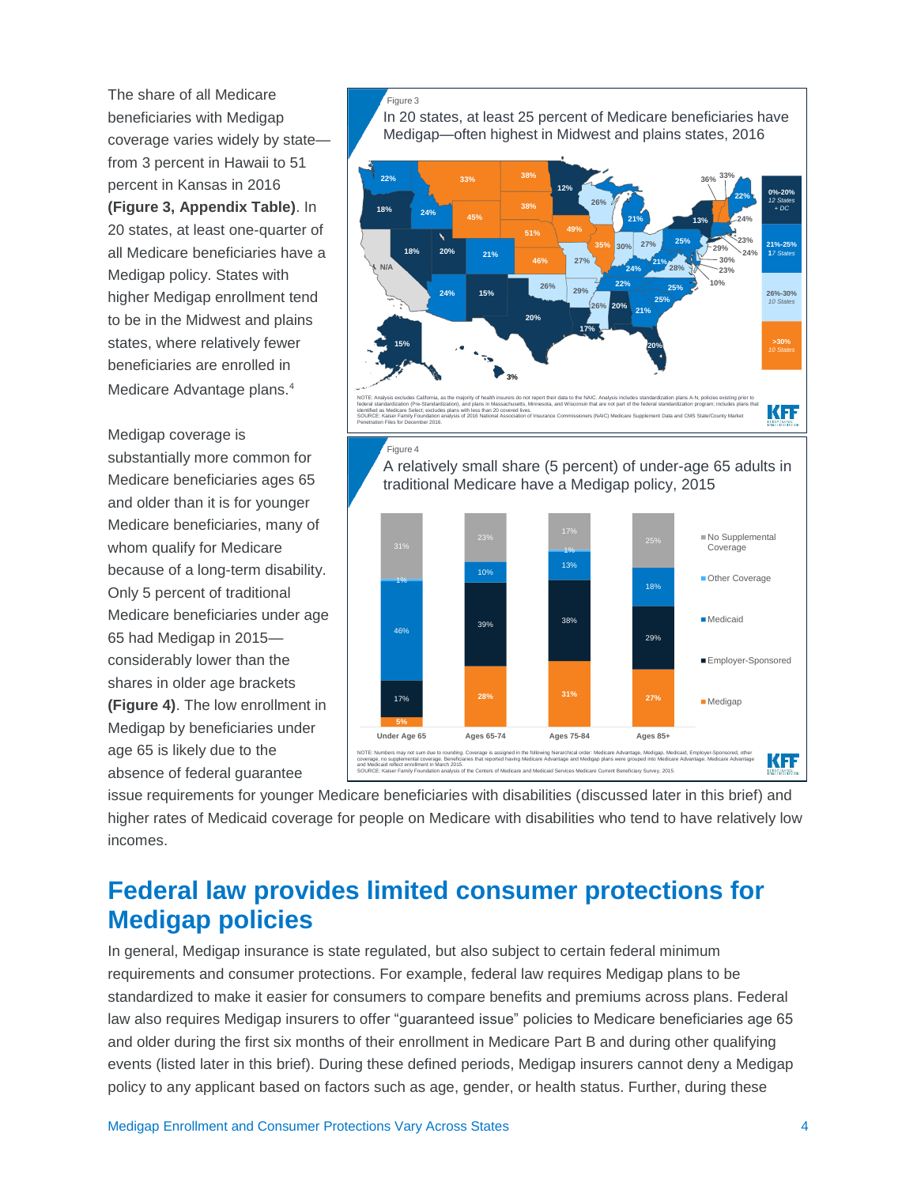The share of all Medicare beneficiaries with Medigap coverage varies widely by state from 3 percent in Hawaii to 51 percent in Kansas in 2016 **(Figure 3, Appendix Table)**. In 20 states, at least one-quarter of all Medicare beneficiaries have a Medigap policy. States with higher Medigap enrollment tend to be in the Midwest and plains states, where relatively fewer beneficiaries are enrolled in Medicare Advantage plans.<sup>4</sup>

Medigap coverage is substantially more common for Medicare beneficiaries ages 65 and older than it is for younger Medicare beneficiaries, many of whom qualify for Medicare because of a long-term disability. Only 5 percent of traditional Medicare beneficiaries under age 65 had Medigap in 2015 considerably lower than the shares in older age brackets **(Figure 4)**. The low enrollment in Medigap by beneficiaries under age 65 is likely due to the absence of federal guarantee

boronto the material of the status. The control of the material of the material of the material of the material of the material of the material of the material of the material of the material of the material of the materia In 20 states, at least 25 percent of Medicare beneficiaries have Medigap—often highest in Midwest and plains states, 2016 NOTE: Analysis excludes California, as the majority of health insurers do not report their data to the NAIC. Analysis includes standardization plans A-N, policies existing prior to federal standardization (Pre-Standardization), and plans in Massachusetts, Minnesota, and Wisconsin that are not part of the federal standardization program; includes plans that identified as Medicare Select; excludes plans with less than 20 covered lives. SOURCE: Kaiser Family Foundation analysis of 2016 National Association of Insurance Commissioners (NAIC) Medicare Supplement Data and CMS State/County Market Penetration Files for December 2016. **0%-20%** *12 States + DC* **21%-25% 1***7 States* **26%-30%** *10 States* **>30%** *10 States* **N/A 22% 18% 18% 20% 24% 21% 24% 15% 20% 17% 26% 46% 51% 45% 49% 12% 13% 20% 20% 26% 21% 33% 38% 38% 35% 26% 29% 27% 30% 27% 22% 24% 25% 25% 28% 25% 22% 21% 21% 15% 3% 36% 33% 24% 24% 23% 29% 30% 23% 10%** Figure 4 **5% 28% 31%** 17% **27%** 39% 38% 29% 46% 10% 13% 18% 1% 31% 31% 31% 31% 31% 31% 31% 31% 23% 17% **Under Age 65 Ages 65-74 Ages 75-84 Ages 85+** No Supplemental Coverage **Other Coverage** Medicaid **Employer-Sponsored Medigap** A relatively small share (5 percent) of under-age 65 adults in traditional Medicare have a Medigap policy, 2015 NOTE: Numbers may not sum due to rounding. Coverage is assigned in the following hierarchical order: Medicare Advantage, Medigap, Medicaid, Employer-Sponsored, other coverage, no supplemental coverage. Beneficiaries that reported having Medicare Advantage and Medigap plans were grouped into Medicare Advantage. Medicare Advantage and Medicaid reflect enrollment in March 2015. SOURCE: Kaiser Family Foundation analysis of the Centers of Medicare and Medicaid Services Medicare Current Beneficiary Survey, 2015.

issue requirements for younger Medicare beneficiaries with disabilities (discussed later in this brief) and higher rates of Medicaid coverage for people on Medicare with disabilities who tend to have relatively low incomes.

## **Federal law provides limited consumer protections for Medigap policies**

In general, Medigap insurance is state regulated, but also subject to certain federal minimum requirements and consumer protections. For example, federal law requires Medigap plans to be standardized to make it easier for consumers to compare benefits and premiums across plans. Federal law also requires Medigap insurers to offer "guaranteed issue" policies to Medicare beneficiaries age 65 and older during the first six months of their enrollment in Medicare Part B and during other qualifying events (listed later in this brief). During these defined periods, Medigap insurers cannot deny a Medigap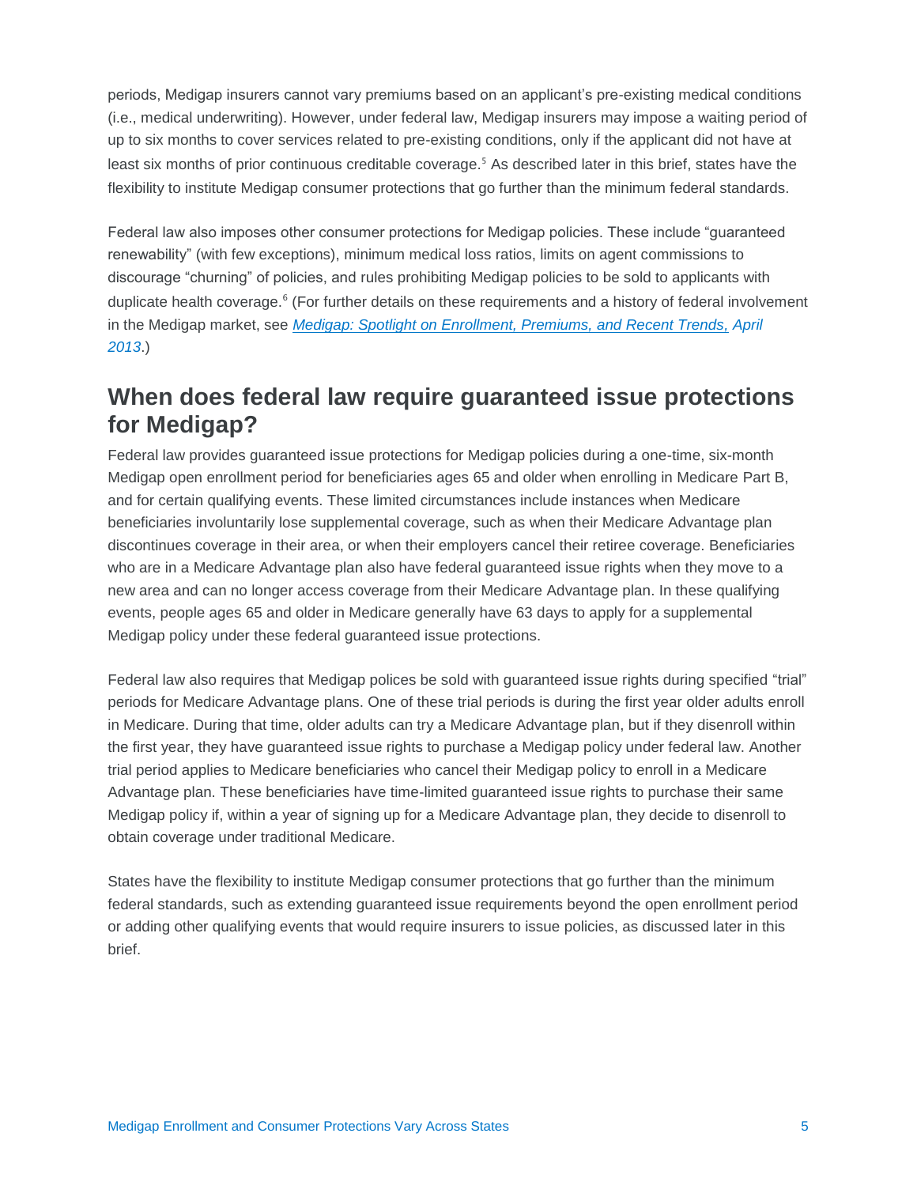periods, Medigap insurers cannot vary premiums based on an applicant's pre-existing medical conditions (i.e., medical underwriting). However, under federal law, Medigap insurers may impose a waiting period of up to six months to cover services related to pre-existing conditions, only if the applicant did not have at least six months of prior continuous creditable coverage. <sup>5</sup> As described later in this brief, states have the flexibility to institute Medigap consumer protections that go further than the minimum federal standards.

Federal law also imposes other consumer protections for Medigap policies. These include "guaranteed renewability" (with few exceptions), minimum medical loss ratios, limits on agent commissions to discourage "churning" of policies, and rules prohibiting Medigap policies to be sold to applicants with duplicate health coverage.<sup>6</sup> (For further details on these requirements and a history of federal involvement in the Medigap market, see *[Medigap: Spotlight on Enrollment, Premiums, and Recent Trends,](https://www.kff.org/medicare/report/medigap-enrollment-premiums-and-recent-trends/) April 2013*.)

### **When does federal law require guaranteed issue protections for Medigap?**

Federal law provides guaranteed issue protections for Medigap policies during a one-time, six-month Medigap open enrollment period for beneficiaries ages 65 and older when enrolling in Medicare Part B, and for certain qualifying events. These limited circumstances include instances when Medicare beneficiaries involuntarily lose supplemental coverage, such as when their Medicare Advantage plan discontinues coverage in their area, or when their employers cancel their retiree coverage. Beneficiaries who are in a Medicare Advantage plan also have federal guaranteed issue rights when they move to a new area and can no longer access coverage from their Medicare Advantage plan. In these qualifying events, people ages 65 and older in Medicare generally have 63 days to apply for a supplemental Medigap policy under these federal guaranteed issue protections.

Federal law also requires that Medigap polices be sold with guaranteed issue rights during specified "trial" periods for Medicare Advantage plans. One of these trial periods is during the first year older adults enroll in Medicare. During that time, older adults can try a Medicare Advantage plan, but if they disenroll within the first year, they have guaranteed issue rights to purchase a Medigap policy under federal law. Another trial period applies to Medicare beneficiaries who cancel their Medigap policy to enroll in a Medicare Advantage plan. These beneficiaries have time-limited guaranteed issue rights to purchase their same Medigap policy if, within a year of signing up for a Medicare Advantage plan, they decide to disenroll to obtain coverage under traditional Medicare.

States have the flexibility to institute Medigap consumer protections that go further than the minimum federal standards, such as extending guaranteed issue requirements beyond the open enrollment period or adding other qualifying events that would require insurers to issue policies, as discussed later in this brief.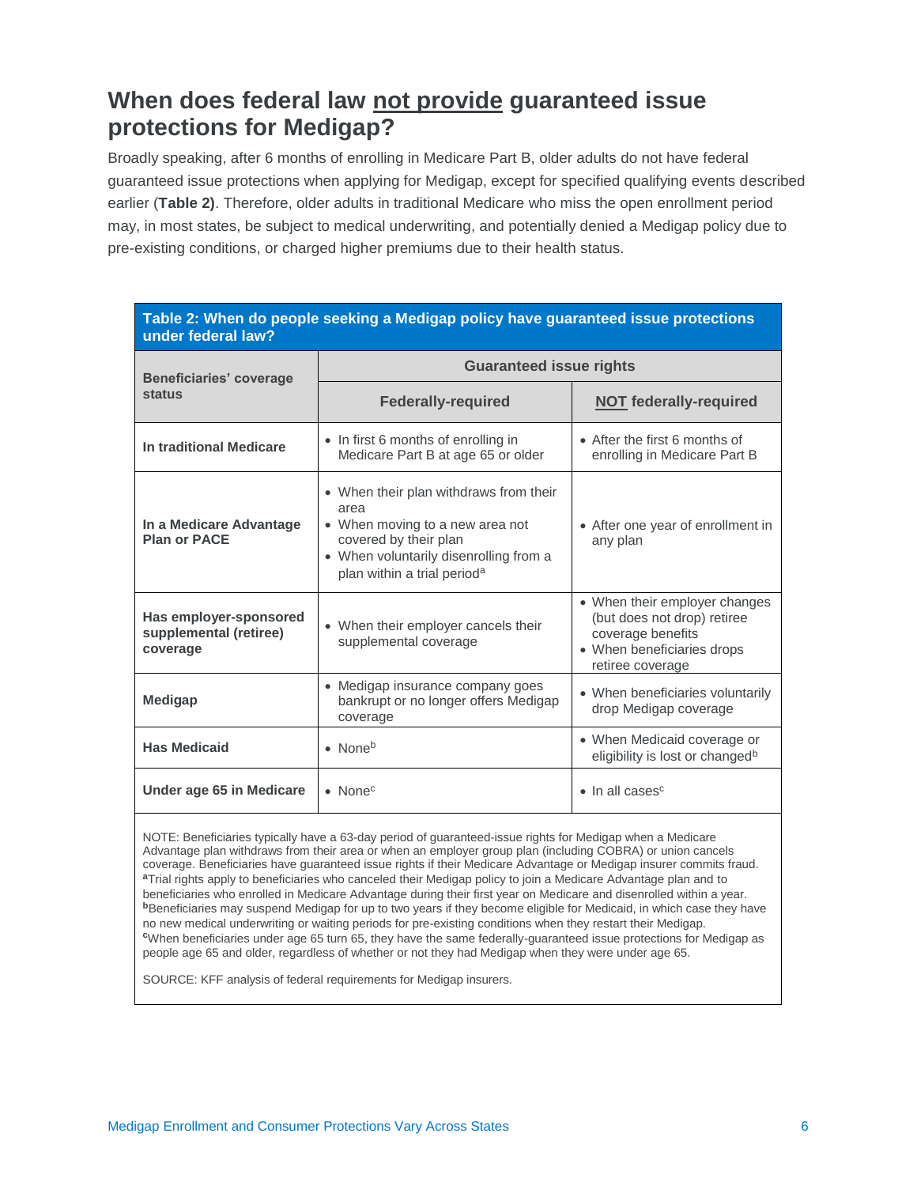### **When does federal law not provide guaranteed issue protections for Medigap?**

Broadly speaking, after 6 months of enrolling in Medicare Part B, older adults do not have federal guaranteed issue protections when applying for Medigap, except for specified qualifying events described earlier (**Table 2)**. Therefore, older adults in traditional Medicare who miss the open enrollment period may, in most states, be subject to medical underwriting, and potentially denied a Medigap policy due to pre-existing conditions, or charged higher premiums due to their health status.

| Table 2: When do people seeking a Medigap policy have guaranteed issue protections<br>under federal law? |                                                                                                                                                                                                 |                                                                                                                                     |  |  |  |  |
|----------------------------------------------------------------------------------------------------------|-------------------------------------------------------------------------------------------------------------------------------------------------------------------------------------------------|-------------------------------------------------------------------------------------------------------------------------------------|--|--|--|--|
| <b>Beneficiaries' coverage</b>                                                                           | <b>Guaranteed issue rights</b>                                                                                                                                                                  |                                                                                                                                     |  |  |  |  |
| <b>status</b>                                                                                            | <b>Federally-required</b>                                                                                                                                                                       | <b>NOT</b> federally-required                                                                                                       |  |  |  |  |
| In traditional Medicare                                                                                  | • In first 6 months of enrolling in<br>Medicare Part B at age 65 or older                                                                                                                       | • After the first 6 months of<br>enrolling in Medicare Part B                                                                       |  |  |  |  |
| In a Medicare Advantage<br><b>Plan or PACE</b>                                                           | • When their plan withdraws from their<br>area<br>• When moving to a new area not<br>covered by their plan<br>• When voluntarily disenrolling from a<br>plan within a trial period <sup>a</sup> | • After one year of enrollment in<br>any plan                                                                                       |  |  |  |  |
| Has employer-sponsored<br>supplemental (retiree)<br>coverage                                             | • When their employer cancels their<br>supplemental coverage                                                                                                                                    | • When their employer changes<br>(but does not drop) retiree<br>coverage benefits<br>• When beneficiaries drops<br>retiree coverage |  |  |  |  |
| <b>Medigap</b>                                                                                           | • Medigap insurance company goes<br>bankrupt or no longer offers Medigap<br>coverage                                                                                                            | • When beneficiaries voluntarily<br>drop Medigap coverage                                                                           |  |  |  |  |
| <b>Has Medicaid</b>                                                                                      | • None <sup>b</sup>                                                                                                                                                                             | • When Medicaid coverage or<br>eligibility is lost or changed <sup>b</sup>                                                          |  |  |  |  |
| Under age 65 in Medicare                                                                                 | $\bullet$ None <sup>c</sup>                                                                                                                                                                     | $\bullet$ In all cases <sup>c</sup>                                                                                                 |  |  |  |  |

NOTE: Beneficiaries typically have a 63-day period of guaranteed-issue rights for Medigap when a Medicare Advantage plan withdraws from their area or when an employer group plan (including COBRA) or union cancels coverage. Beneficiaries have guaranteed issue rights if their Medicare Advantage or Medigap insurer commits fraud. **<sup>a</sup>**Trial rights apply to beneficiaries who canceled their Medigap policy to join a Medicare Advantage plan and to beneficiaries who enrolled in Medicare Advantage during their first year on Medicare and disenrolled within a year. **<sup>b</sup>**Beneficiaries may suspend Medigap for up to two years if they become eligible for Medicaid, in which case they have no new medical underwriting or waiting periods for pre-existing conditions when they restart their Medigap. **<sup>c</sup>**When beneficiaries under age 65 turn 65, they have the same federally-guaranteed issue protections for Medigap as people age 65 and older, regardless of whether or not they had Medigap when they were under age 65.

SOURCE: KFF analysis of federal requirements for Medigap insurers.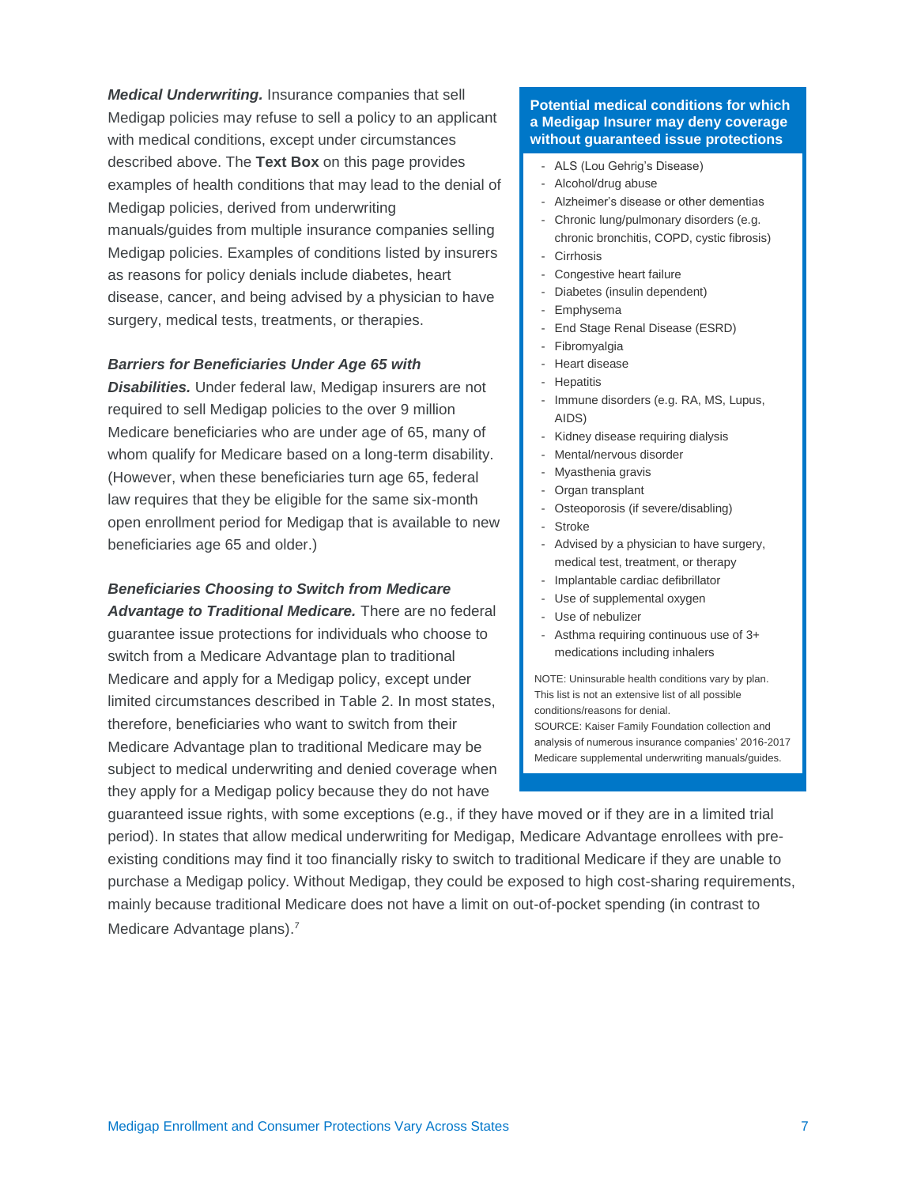*Medical Underwriting.* Insurance companies that sell Medigap policies may refuse to sell a policy to an applicant with medical conditions, except under circumstances described above. The **Text Box** on this page provides examples of health conditions that may lead to the denial of Medigap policies, derived from underwriting manuals/guides from multiple insurance companies selling Medigap policies. Examples of conditions listed by insurers as reasons for policy denials include diabetes, heart disease, cancer, and being advised by a physician to have surgery, medical tests, treatments, or therapies.

#### *Barriers for Beneficiaries Under Age 65 with*

*Disabilities.* Under federal law, Medigap insurers are not required to sell Medigap policies to the over 9 million Medicare beneficiaries who are under age of 65, many of whom qualify for Medicare based on a long-term disability. (However, when these beneficiaries turn age 65, federal law requires that they be eligible for the same six-month open enrollment period for Medigap that is available to new beneficiaries age 65 and older.)

#### *Beneficiaries Choosing to Switch from Medicare*

*Advantage to Traditional Medicare.* There are no federal guarantee issue protections for individuals who choose to switch from a Medicare Advantage plan to traditional Medicare and apply for a Medigap policy, except under limited circumstances described in Table 2. In most states, therefore, beneficiaries who want to switch from their Medicare Advantage plan to traditional Medicare may be subject to medical underwriting and denied coverage when they apply for a Medigap policy because they do not have

#### **Potential medical conditions for which a Medigap Insurer may deny coverage without guaranteed issue protections**

- ALS (Lou Gehrig's Disease)
- Alcohol/drug abuse
- Alzheimer's disease or other dementias
- Chronic lung/pulmonary disorders (e.g. chronic bronchitis, COPD, cystic fibrosis)
- **Cirrhosis**
- Congestive heart failure
- Diabetes (insulin dependent)
- Emphysema
- End Stage Renal Disease (ESRD)
- Fibromyalgia
- Heart disease
- Hepatitis
- Immune disorders (e.g. RA, MS, Lupus, AIDS)
- Kidney disease requiring dialysis
- Mental/nervous disorder
- Myasthenia gravis
- Organ transplant
- Osteoporosis (if severe/disabling)
- Stroke
- Advised by a physician to have surgery, medical test, treatment, or therapy
- Implantable cardiac defibrillator
- Use of supplemental oxygen
- Use of nebulizer
- Asthma requiring continuous use of 3+ medications including inhalers

NOTE: Uninsurable health conditions vary by plan. This list is not an extensive list of all possible conditions/reasons for denial.

SOURCE: Kaiser Family Foundation collection and analysis of numerous insurance companies' 2016-2017 Medicare supplemental underwriting manuals/guides.

guaranteed issue rights, with some exceptions (e.g., if they have moved or if they are in a limited trial period). In states that allow medical underwriting for Medigap, Medicare Advantage enrollees with preexisting conditions may find it too financially risky to switch to traditional Medicare if they are unable to purchase a Medigap policy. Without Medigap, they could be exposed to high cost-sharing requirements, mainly because traditional Medicare does not have a limit on out-of-pocket spending (in contrast to Medicare Advantage plans).<sup>7</sup>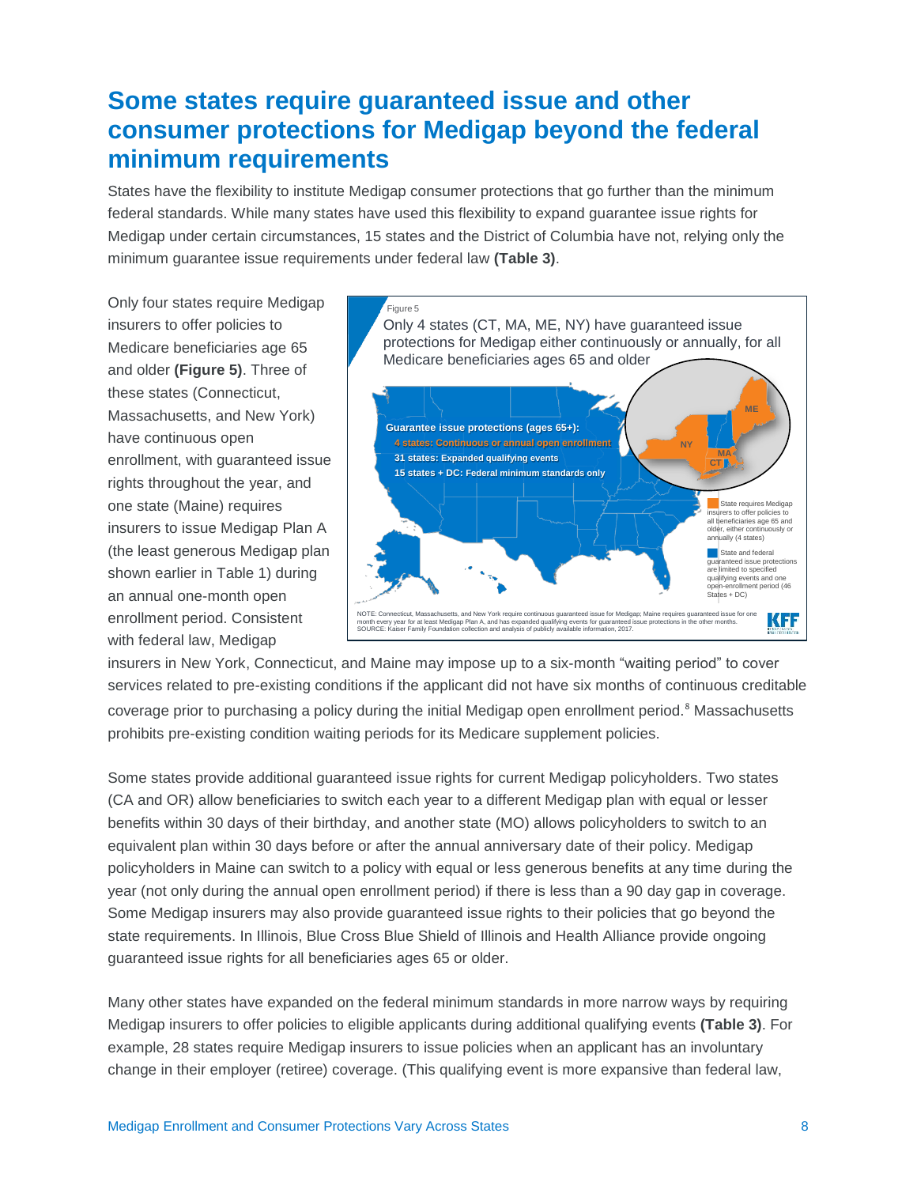### **Some states require guaranteed issue and other consumer protections for Medigap beyond the federal minimum requirements**

States have the flexibility to institute Medigap consumer protections that go further than the minimum federal standards. While many states have used this flexibility to expand guarantee issue rights for Medigap under certain circumstances, 15 states and the District of Columbia have not, relying only the minimum guarantee issue requirements under federal law **(Table 3)**.

Only four states require Medigap insurers to offer policies to Medicare beneficiaries age 65 and older **(Figure 5)**. Three of these states (Connecticut, Massachusetts, and New York) have continuous open enrollment, with guaranteed issue rights throughout the year, and one state (Maine) requires insurers to issue Medigap Plan A (the least generous Medigap plan shown earlier in Table 1) during an annual one-month open enrollment period. Consistent with federal law, Medigap



insurers in New York, Connecticut, and Maine may impose up to a six-month "waiting period" to cover services related to pre-existing conditions if the applicant did not have six months of continuous creditable coverage prior to purchasing a policy during the initial Medigap open enrollment period.<sup>8</sup> Massachusetts prohibits pre-existing condition waiting periods for its Medicare supplement policies.

Some states provide additional guaranteed issue rights for current Medigap policyholders. Two states (CA and OR) allow beneficiaries to switch each year to a different Medigap plan with equal or lesser benefits within 30 days of their birthday, and another state (MO) allows policyholders to switch to an equivalent plan within 30 days before or after the annual anniversary date of their policy. Medigap policyholders in Maine can switch to a policy with equal or less generous benefits at any time during the year (not only during the annual open enrollment period) if there is less than a 90 day gap in coverage. Some Medigap insurers may also provide guaranteed issue rights to their policies that go beyond the state requirements. In Illinois, Blue Cross Blue Shield of Illinois and Health Alliance provide ongoing guaranteed issue rights for all beneficiaries ages 65 or older.

Many other states have expanded on the federal minimum standards in more narrow ways by requiring Medigap insurers to offer policies to eligible applicants during additional qualifying events **(Table 3)**. For example, 28 states require Medigap insurers to issue policies when an applicant has an involuntary change in their employer (retiree) coverage. (This qualifying event is more expansive than federal law,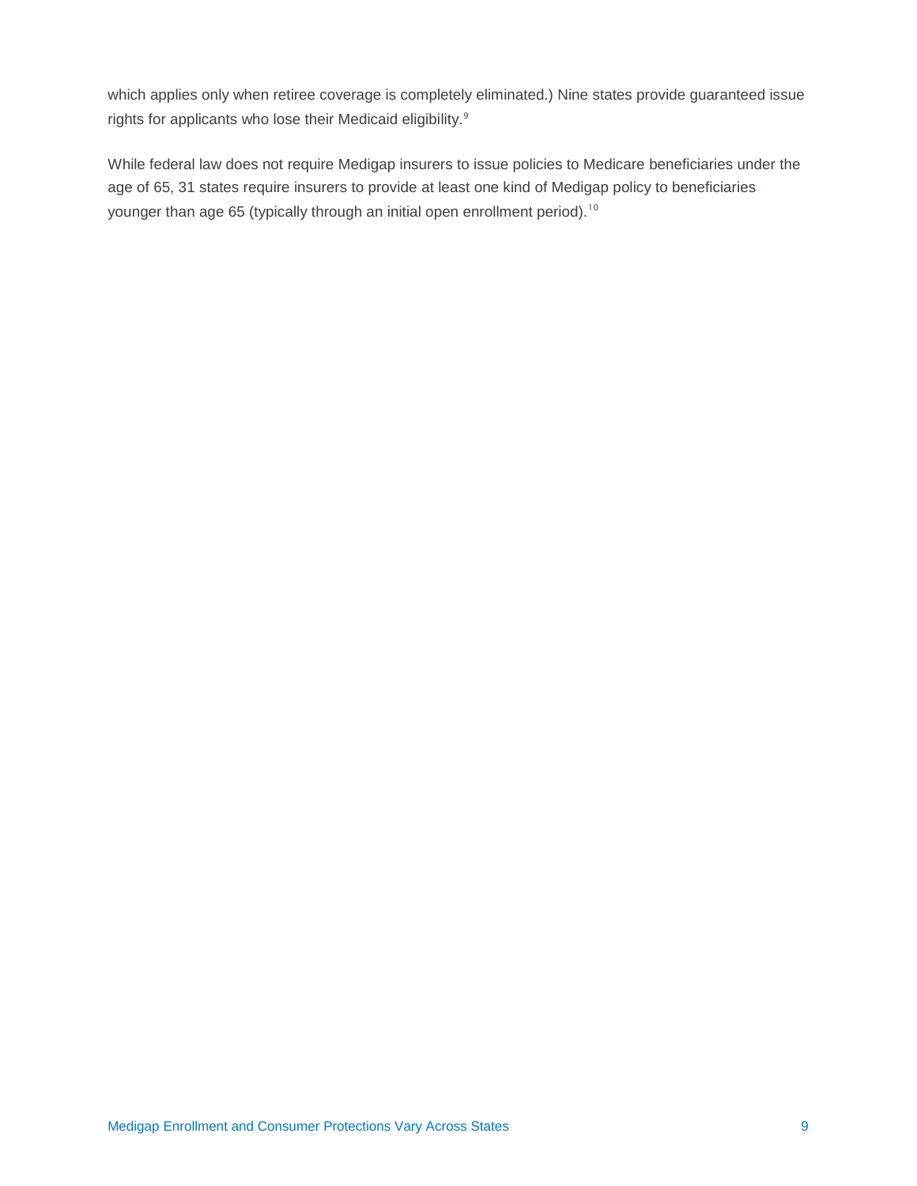which applies only when retiree coverage is completely eliminated.) Nine states provide guaranteed issue rights for applicants who lose their Medicaid eligibility.<sup>9</sup>

While federal law does not require Medigap insurers to issue policies to Medicare beneficiaries under the age of 65, 31 states require insurers to provide at least one kind of Medigap policy to beneficiaries younger than age 65 (typically through an initial open enrollment period).<sup>10</sup>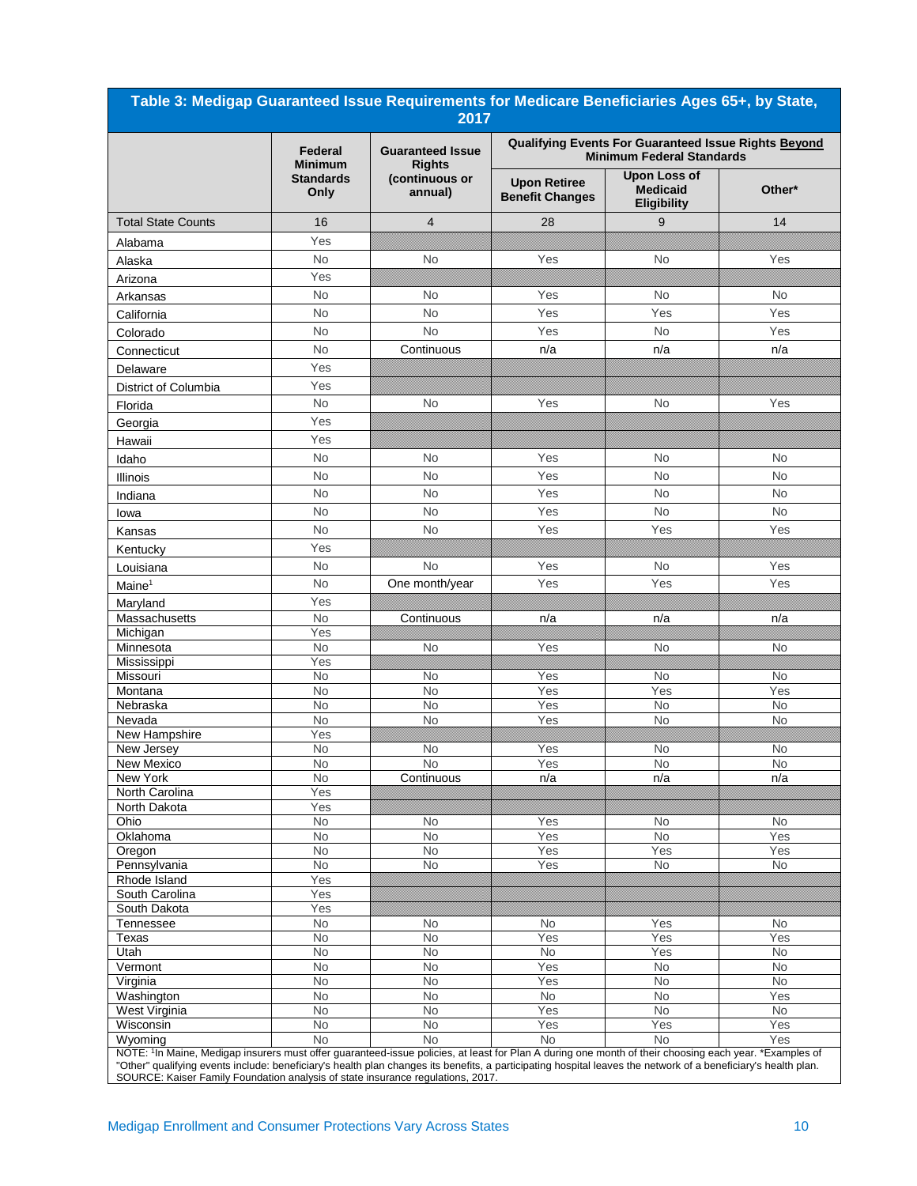| Table 3: Medigap Guaranteed Issue Requirements for Medicare Beneficiaries Ages 65+, by State,<br>2017                                                                                                                                                                                                                                           |                           |                                          |                                                                                          |                                                              |                  |  |
|-------------------------------------------------------------------------------------------------------------------------------------------------------------------------------------------------------------------------------------------------------------------------------------------------------------------------------------------------|---------------------------|------------------------------------------|------------------------------------------------------------------------------------------|--------------------------------------------------------------|------------------|--|
|                                                                                                                                                                                                                                                                                                                                                 | Federal<br><b>Minimum</b> | <b>Guaranteed Issue</b><br><b>Rights</b> | Qualifying Events For Guaranteed Issue Rights Beyond<br><b>Minimum Federal Standards</b> |                                                              |                  |  |
|                                                                                                                                                                                                                                                                                                                                                 | <b>Standards</b><br>Only  | (continuous or<br>annual)                | <b>Upon Retiree</b><br><b>Benefit Changes</b>                                            | <b>Upon Loss of</b><br><b>Medicaid</b><br><b>Eligibility</b> | Other*           |  |
| <b>Total State Counts</b>                                                                                                                                                                                                                                                                                                                       | 16                        | $\overline{4}$                           | 28                                                                                       | 9                                                            | 14               |  |
| Alabama                                                                                                                                                                                                                                                                                                                                         | Yes                       |                                          |                                                                                          |                                                              |                  |  |
| Alaska                                                                                                                                                                                                                                                                                                                                          | <b>No</b>                 | No                                       | Yes                                                                                      | <b>No</b>                                                    | Yes              |  |
| Arizona                                                                                                                                                                                                                                                                                                                                         | Yes                       |                                          |                                                                                          |                                                              |                  |  |
| Arkansas                                                                                                                                                                                                                                                                                                                                        | <b>No</b>                 | <b>No</b>                                | Yes                                                                                      | No                                                           | No.              |  |
| California                                                                                                                                                                                                                                                                                                                                      | <b>No</b>                 | <b>No</b>                                | Yes                                                                                      | Yes                                                          | Yes              |  |
| Colorado                                                                                                                                                                                                                                                                                                                                        | <b>No</b>                 | <b>No</b>                                | Yes                                                                                      | No                                                           | Yes              |  |
| Connecticut                                                                                                                                                                                                                                                                                                                                     | <b>No</b>                 | Continuous                               | n/a                                                                                      | n/a                                                          | n/a              |  |
| Delaware                                                                                                                                                                                                                                                                                                                                        | Yes                       |                                          |                                                                                          |                                                              |                  |  |
| District of Columbia                                                                                                                                                                                                                                                                                                                            | Yes                       |                                          |                                                                                          |                                                              |                  |  |
| Florida                                                                                                                                                                                                                                                                                                                                         | No                        | <b>No</b>                                | Yes                                                                                      | <b>No</b>                                                    | Yes              |  |
| Georgia                                                                                                                                                                                                                                                                                                                                         | Yes                       |                                          |                                                                                          |                                                              |                  |  |
| Hawaii                                                                                                                                                                                                                                                                                                                                          | Yes                       |                                          |                                                                                          |                                                              |                  |  |
| Idaho                                                                                                                                                                                                                                                                                                                                           | <b>No</b>                 | <b>No</b>                                | Yes                                                                                      | <b>No</b>                                                    | No               |  |
| Illinois                                                                                                                                                                                                                                                                                                                                        | <b>No</b>                 | <b>No</b>                                | Yes                                                                                      | <b>No</b>                                                    | <b>No</b>        |  |
| Indiana                                                                                                                                                                                                                                                                                                                                         | No                        | <b>No</b>                                | Yes                                                                                      | <b>No</b>                                                    | <b>No</b>        |  |
| lowa                                                                                                                                                                                                                                                                                                                                            | <b>No</b>                 | <b>No</b>                                | Yes                                                                                      | <b>No</b>                                                    | <b>No</b>        |  |
|                                                                                                                                                                                                                                                                                                                                                 | <b>No</b>                 | <b>No</b>                                | Yes                                                                                      | Yes                                                          | Yes              |  |
| Kansas                                                                                                                                                                                                                                                                                                                                          | Yes                       |                                          |                                                                                          |                                                              |                  |  |
| Kentucky                                                                                                                                                                                                                                                                                                                                        | <b>No</b>                 | <b>No</b>                                | Yes                                                                                      | <b>No</b>                                                    | Yes              |  |
| Louisiana                                                                                                                                                                                                                                                                                                                                       | <b>No</b>                 |                                          | Yes                                                                                      | Yes                                                          | Yes              |  |
| Maine <sup>1</sup>                                                                                                                                                                                                                                                                                                                              |                           | One month/year                           |                                                                                          |                                                              |                  |  |
| Maryland<br>Massachusetts                                                                                                                                                                                                                                                                                                                       | Yes<br><b>No</b>          | Continuous                               | n/a                                                                                      | n/a                                                          | n/a              |  |
| Michigan                                                                                                                                                                                                                                                                                                                                        | Yes                       |                                          |                                                                                          |                                                              |                  |  |
| Minnesota                                                                                                                                                                                                                                                                                                                                       | <b>No</b>                 | No                                       | Yes                                                                                      | No                                                           | No               |  |
| Mississippi                                                                                                                                                                                                                                                                                                                                     | Yes                       |                                          |                                                                                          |                                                              |                  |  |
| Missouri                                                                                                                                                                                                                                                                                                                                        | No                        | No                                       | Yes                                                                                      | No                                                           | No               |  |
| Montana<br>Nebraska                                                                                                                                                                                                                                                                                                                             | <b>No</b><br><b>No</b>    | No<br><b>No</b>                          | Yes<br>Yes                                                                               | Yes<br>No                                                    | Yes<br>No        |  |
| Nevada                                                                                                                                                                                                                                                                                                                                          | No                        | No                                       | Yes                                                                                      | No                                                           | No               |  |
| New Hampshire                                                                                                                                                                                                                                                                                                                                   | Yes                       |                                          |                                                                                          |                                                              |                  |  |
| New Jersey                                                                                                                                                                                                                                                                                                                                      | No                        | No                                       | Yes                                                                                      | No                                                           | No               |  |
| New Mexico                                                                                                                                                                                                                                                                                                                                      | No.                       | NO.                                      | Y es                                                                                     | No                                                           | No               |  |
| New York<br>North Carolina                                                                                                                                                                                                                                                                                                                      | No<br>Yes                 | Continuous                               | n/a                                                                                      | n/a                                                          | n/a              |  |
| North Dakota                                                                                                                                                                                                                                                                                                                                    | Yes                       |                                          |                                                                                          |                                                              |                  |  |
| Ohio                                                                                                                                                                                                                                                                                                                                            | No                        | No                                       | Yes                                                                                      | No                                                           | No               |  |
| Oklahoma                                                                                                                                                                                                                                                                                                                                        | No                        | <b>No</b>                                | Yes                                                                                      | No                                                           | Yes              |  |
| Oregon<br>Pennsylvania                                                                                                                                                                                                                                                                                                                          | <b>No</b><br>No.          | <b>No</b><br>No                          | Yes<br>Yes                                                                               | Yes<br>No                                                    | Yes<br><b>No</b> |  |
| Rhode Island                                                                                                                                                                                                                                                                                                                                    | Yes                       |                                          |                                                                                          |                                                              |                  |  |
| South Carolina                                                                                                                                                                                                                                                                                                                                  | Yes                       |                                          |                                                                                          |                                                              |                  |  |
| South Dakota                                                                                                                                                                                                                                                                                                                                    | Yes                       |                                          |                                                                                          |                                                              |                  |  |
| Tennessee                                                                                                                                                                                                                                                                                                                                       | <b>No</b>                 | No                                       | No                                                                                       | Yes                                                          | No.              |  |
| Texas                                                                                                                                                                                                                                                                                                                                           | No                        | <b>No</b>                                | Yes                                                                                      | Yes                                                          | Yes              |  |
| Utah<br>Vermont                                                                                                                                                                                                                                                                                                                                 | No<br><b>No</b>           | No<br><b>No</b>                          | No<br>Yes                                                                                | Yes<br>No                                                    | No<br>No         |  |
| Virginia                                                                                                                                                                                                                                                                                                                                        | <b>No</b>                 | No                                       | Yes                                                                                      | No                                                           | <b>No</b>        |  |
| Washington                                                                                                                                                                                                                                                                                                                                      | <b>No</b>                 | <b>No</b>                                | <b>No</b>                                                                                | No                                                           | Yes              |  |
| West Virginia                                                                                                                                                                                                                                                                                                                                   | No                        | <b>No</b>                                | Yes                                                                                      | No                                                           | No               |  |
| Wisconsin                                                                                                                                                                                                                                                                                                                                       | No                        | No                                       | Yes                                                                                      | Yes                                                          | Yes              |  |
| Wyoming<br>NOTE: <sup>1</sup> In Maine, Medigap insurers must offer guaranteed-issue policies, at least for Plan A during one month of their choosing each year. *Examples of<br>"Other" qualifying events include: beneficiary's health plan changes its benefits, a participating hospital leaves the network of a beneficiary's health plan. | <b>No</b>                 | <b>No</b>                                | <b>No</b>                                                                                | <b>No</b>                                                    | Yes              |  |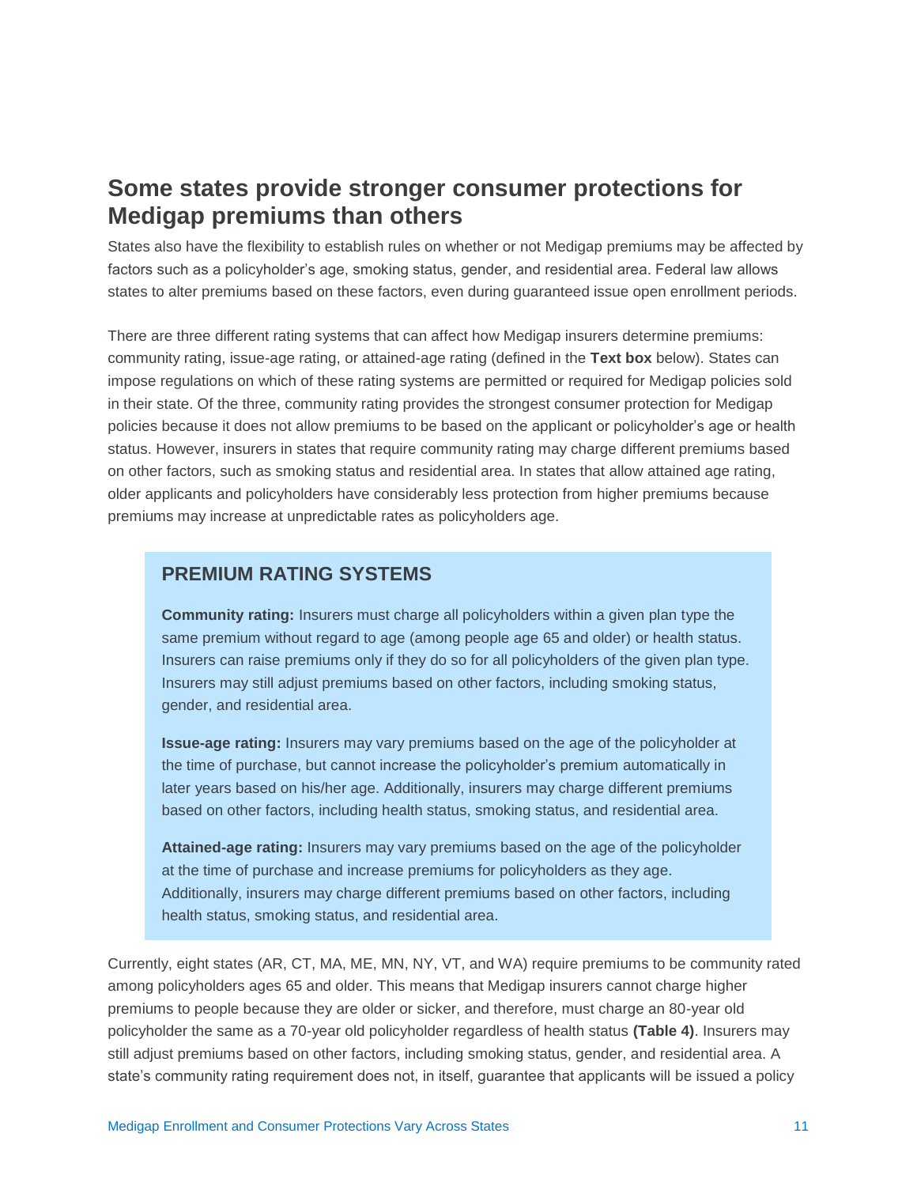### **Some states provide stronger consumer protections for Medigap premiums than others**

States also have the flexibility to establish rules on whether or not Medigap premiums may be affected by factors such as a policyholder's age, smoking status, gender, and residential area. Federal law allows states to alter premiums based on these factors, even during guaranteed issue open enrollment periods.

There are three different rating systems that can affect how Medigap insurers determine premiums: community rating, issue-age rating, or attained-age rating (defined in the **Text box** below). States can impose regulations on which of these rating systems are permitted or required for Medigap policies sold in their state. Of the three, community rating provides the strongest consumer protection for Medigap policies because it does not allow premiums to be based on the applicant or policyholder's age or health status. However, insurers in states that require community rating may charge different premiums based on other factors, such as smoking status and residential area. In states that allow attained age rating, older applicants and policyholders have considerably less protection from higher premiums because premiums may increase at unpredictable rates as policyholders age.

### **PREMIUM RATING SYSTEMS**

**Community rating:** Insurers must charge all policyholders within a given plan type the same premium without regard to age (among people age 65 and older) or health status. Insurers can raise premiums only if they do so for all policyholders of the given plan type. Insurers may still adjust premiums based on other factors, including smoking status, gender, and residential area.

**Issue-age rating:** Insurers may vary premiums based on the age of the policyholder at the time of purchase, but cannot increase the policyholder's premium automatically in later years based on his/her age. Additionally, insurers may charge different premiums based on other factors, including health status, smoking status, and residential area.

**Attained-age rating:** Insurers may vary premiums based on the age of the policyholder at the time of purchase and increase premiums for policyholders as they age. Additionally, insurers may charge different premiums based on other factors, including health status, smoking status, and residential area.

Currently, eight states (AR, CT, MA, ME, MN, NY, VT, and WA) require premiums to be community rated among policyholders ages 65 and older. This means that Medigap insurers cannot charge higher premiums to people because they are older or sicker, and therefore, must charge an 80-year old policyholder the same as a 70-year old policyholder regardless of health status **(Table 4)**. Insurers may still adjust premiums based on other factors, including smoking status, gender, and residential area. A state's community rating requirement does not, in itself, guarantee that applicants will be issued a policy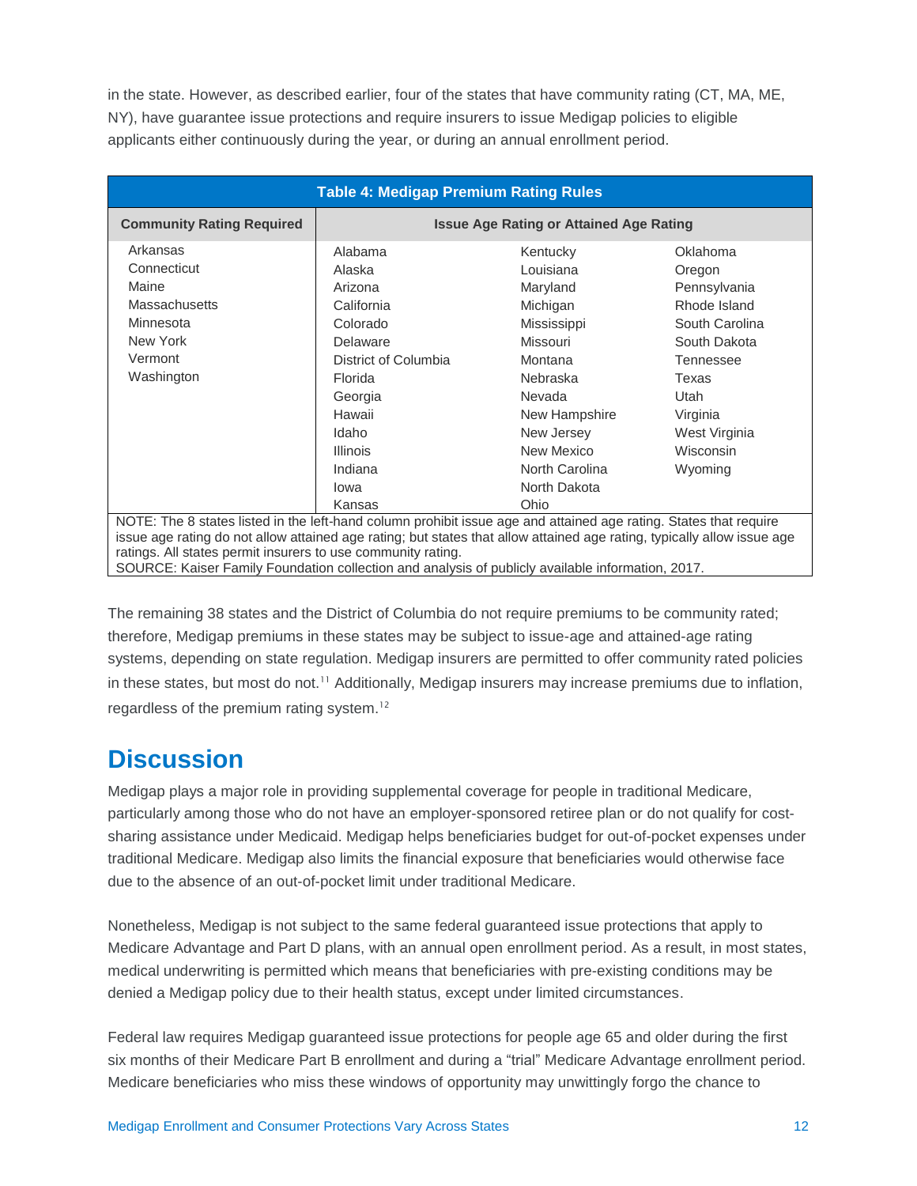in the state. However, as described earlier, four of the states that have community rating (CT, MA, ME, NY), have guarantee issue protections and require insurers to issue Medigap policies to eligible applicants either continuously during the year, or during an annual enrollment period.

| <b>Table 4: Medigap Premium Rating Rules</b>                                                                            |                                                |                |                |  |  |  |
|-------------------------------------------------------------------------------------------------------------------------|------------------------------------------------|----------------|----------------|--|--|--|
| <b>Community Rating Required</b>                                                                                        | <b>Issue Age Rating or Attained Age Rating</b> |                |                |  |  |  |
| Arkansas                                                                                                                | Alabama                                        | Kentucky       | Oklahoma       |  |  |  |
| Connecticut                                                                                                             | Alaska                                         | Louisiana      | Oregon         |  |  |  |
| Maine                                                                                                                   | Arizona                                        | Maryland       | Pennsylvania   |  |  |  |
| <b>Massachusetts</b>                                                                                                    | California                                     | Michigan       | Rhode Island   |  |  |  |
| Minnesota                                                                                                               | Colorado                                       | Mississippi    | South Carolina |  |  |  |
| New York                                                                                                                | Delaware                                       | Missouri       | South Dakota   |  |  |  |
| Vermont                                                                                                                 | District of Columbia                           | Montana        | Tennessee      |  |  |  |
| Washington                                                                                                              | Florida                                        | Nebraska       | Texas          |  |  |  |
|                                                                                                                         | Georgia                                        | Nevada         | Utah           |  |  |  |
|                                                                                                                         | Hawaii                                         | New Hampshire  | Virginia       |  |  |  |
|                                                                                                                         | Idaho                                          | New Jersey     | West Virginia  |  |  |  |
|                                                                                                                         | <b>Illinois</b>                                | New Mexico     | Wisconsin      |  |  |  |
|                                                                                                                         | Indiana                                        | North Carolina | Wyoming        |  |  |  |
|                                                                                                                         | lowa                                           | North Dakota   |                |  |  |  |
|                                                                                                                         | Kansas                                         | Ohio           |                |  |  |  |
| NOTE: The 8 states listed in the left-hand column prohibit issue age and attained age rating. States that require       |                                                |                |                |  |  |  |
| issue age rating do not allow attained age rating; but states that allow attained age rating, typically allow issue age |                                                |                |                |  |  |  |
| ratings. All states permit insurers to use community rating.                                                            |                                                |                |                |  |  |  |
| SOURCE: Kaiser Family Foundation collection and analysis of publicly available information, 2017.                       |                                                |                |                |  |  |  |

The remaining 38 states and the District of Columbia do not require premiums to be community rated; therefore, Medigap premiums in these states may be subject to issue-age and attained-age rating systems, depending on state regulation. Medigap insurers are permitted to offer community rated policies in these states, but most do not.<sup>11</sup> Additionally, Medigap insurers may increase premiums due to inflation, regardless of the premium rating system.<sup>12</sup>

## **Discussion**

Medigap plays a major role in providing supplemental coverage for people in traditional Medicare, particularly among those who do not have an employer-sponsored retiree plan or do not qualify for costsharing assistance under Medicaid. Medigap helps beneficiaries budget for out-of-pocket expenses under traditional Medicare. Medigap also limits the financial exposure that beneficiaries would otherwise face due to the absence of an out-of-pocket limit under traditional Medicare.

Nonetheless, Medigap is not subject to the same federal guaranteed issue protections that apply to Medicare Advantage and Part D plans, with an annual open enrollment period. As a result, in most states, medical underwriting is permitted which means that beneficiaries with pre-existing conditions may be denied a Medigap policy due to their health status, except under limited circumstances.

Federal law requires Medigap guaranteed issue protections for people age 65 and older during the first six months of their Medicare Part B enrollment and during a "trial" Medicare Advantage enrollment period. Medicare beneficiaries who miss these windows of opportunity may unwittingly forgo the chance to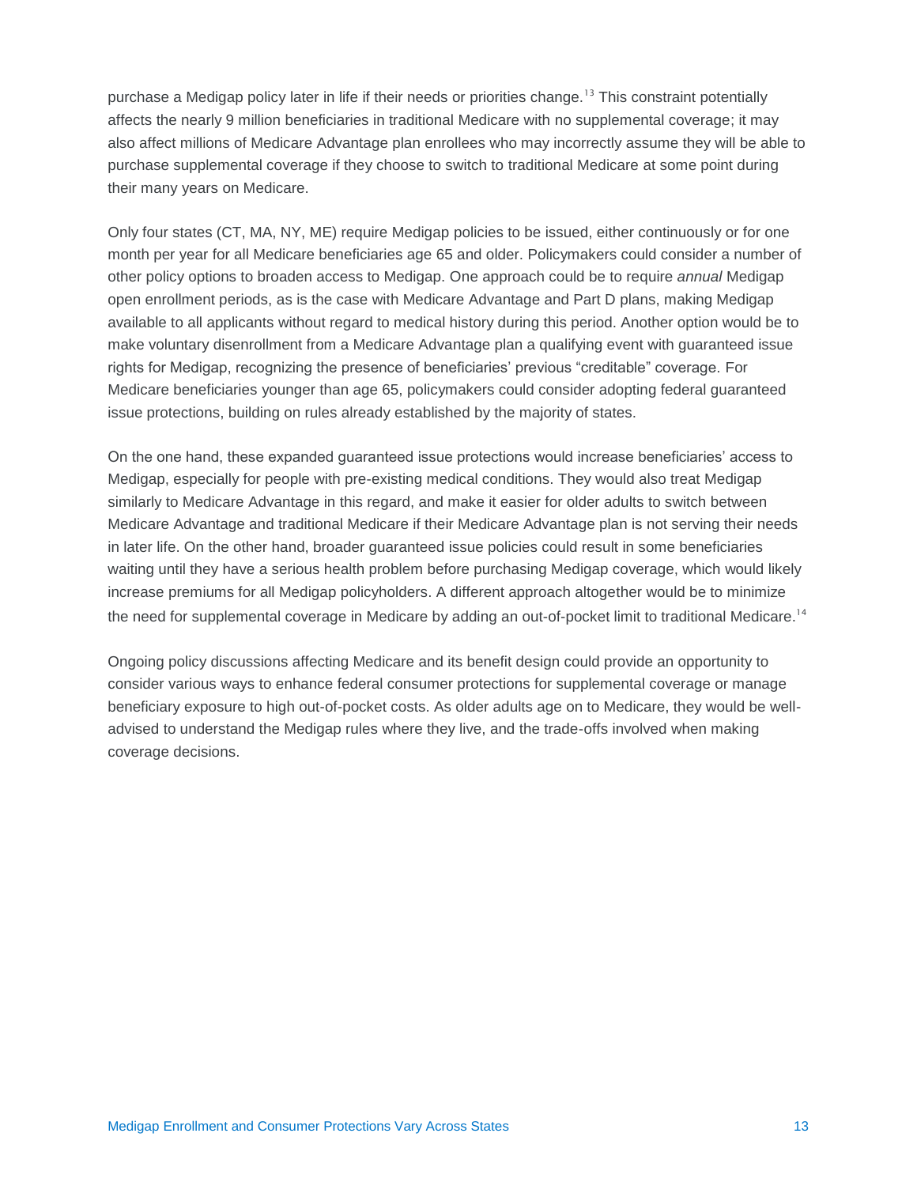purchase a Medigap policy later in life if their needs or priorities change.<sup>13</sup> This constraint potentially affects the nearly 9 million beneficiaries in traditional Medicare with no supplemental coverage; it may also affect millions of Medicare Advantage plan enrollees who may incorrectly assume they will be able to purchase supplemental coverage if they choose to switch to traditional Medicare at some point during their many years on Medicare.

Only four states (CT, MA, NY, ME) require Medigap policies to be issued, either continuously or for one month per year for all Medicare beneficiaries age 65 and older. Policymakers could consider a number of other policy options to broaden access to Medigap. One approach could be to require *annual* Medigap open enrollment periods, as is the case with Medicare Advantage and Part D plans, making Medigap available to all applicants without regard to medical history during this period. Another option would be to make voluntary disenrollment from a Medicare Advantage plan a qualifying event with guaranteed issue rights for Medigap, recognizing the presence of beneficiaries' previous "creditable" coverage. For Medicare beneficiaries younger than age 65, policymakers could consider adopting federal guaranteed issue protections, building on rules already established by the majority of states.

On the one hand, these expanded guaranteed issue protections would increase beneficiaries' access to Medigap, especially for people with pre-existing medical conditions. They would also treat Medigap similarly to Medicare Advantage in this regard, and make it easier for older adults to switch between Medicare Advantage and traditional Medicare if their Medicare Advantage plan is not serving their needs in later life. On the other hand, broader guaranteed issue policies could result in some beneficiaries waiting until they have a serious health problem before purchasing Medigap coverage, which would likely increase premiums for all Medigap policyholders. A different approach altogether would be to minimize the need for supplemental coverage in Medicare by adding an out-of-pocket limit to traditional Medicare.<sup>14</sup>

Ongoing policy discussions affecting Medicare and its benefit design could provide an opportunity to consider various ways to enhance federal consumer protections for supplemental coverage or manage beneficiary exposure to high out-of-pocket costs. As older adults age on to Medicare, they would be welladvised to understand the Medigap rules where they live, and the trade-offs involved when making coverage decisions.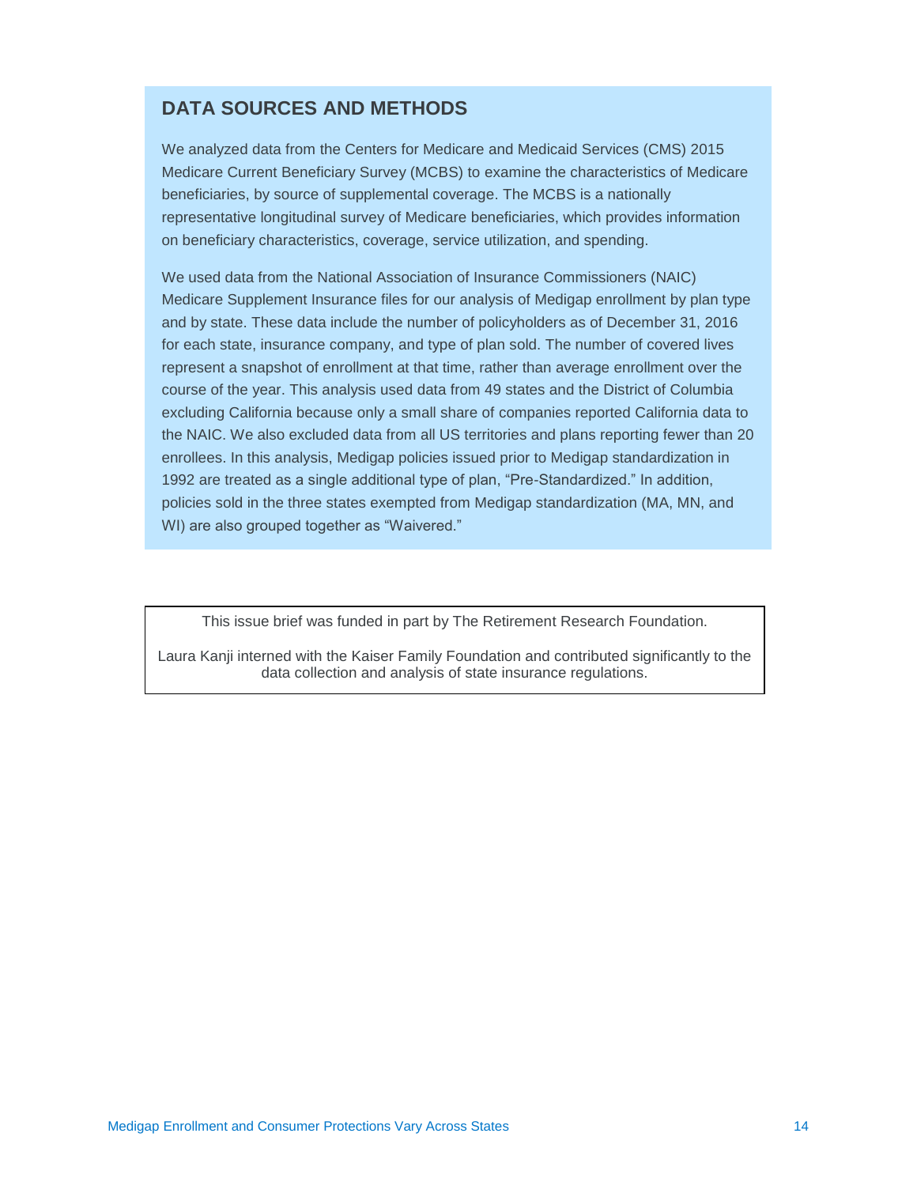### **DATA SOURCES AND METHODS**

We analyzed data from the Centers for Medicare and Medicaid Services (CMS) 2015 Medicare Current Beneficiary Survey (MCBS) to examine the characteristics of Medicare beneficiaries, by source of supplemental coverage. The MCBS is a nationally representative longitudinal survey of Medicare beneficiaries, which provides information on beneficiary characteristics, coverage, service utilization, and spending.

We used data from the National Association of Insurance Commissioners (NAIC) Medicare Supplement Insurance files for our analysis of Medigap enrollment by plan type and by state. These data include the number of policyholders as of December 31, 2016 for each state, insurance company, and type of plan sold. The number of covered lives represent a snapshot of enrollment at that time, rather than average enrollment over the course of the year. This analysis used data from 49 states and the District of Columbia excluding California because only a small share of companies reported California data to the NAIC. We also excluded data from all US territories and plans reporting fewer than 20 enrollees. In this analysis, Medigap policies issued prior to Medigap standardization in 1992 are treated as a single additional type of plan, "Pre-Standardized." In addition, policies sold in the three states exempted from Medigap standardization (MA, MN, and WI) are also grouped together as "Waivered."

This issue brief was funded in part by The Retirement Research Foundation.

Laura Kanji interned with the Kaiser Family Foundation and contributed significantly to the data collection and analysis of state insurance regulations.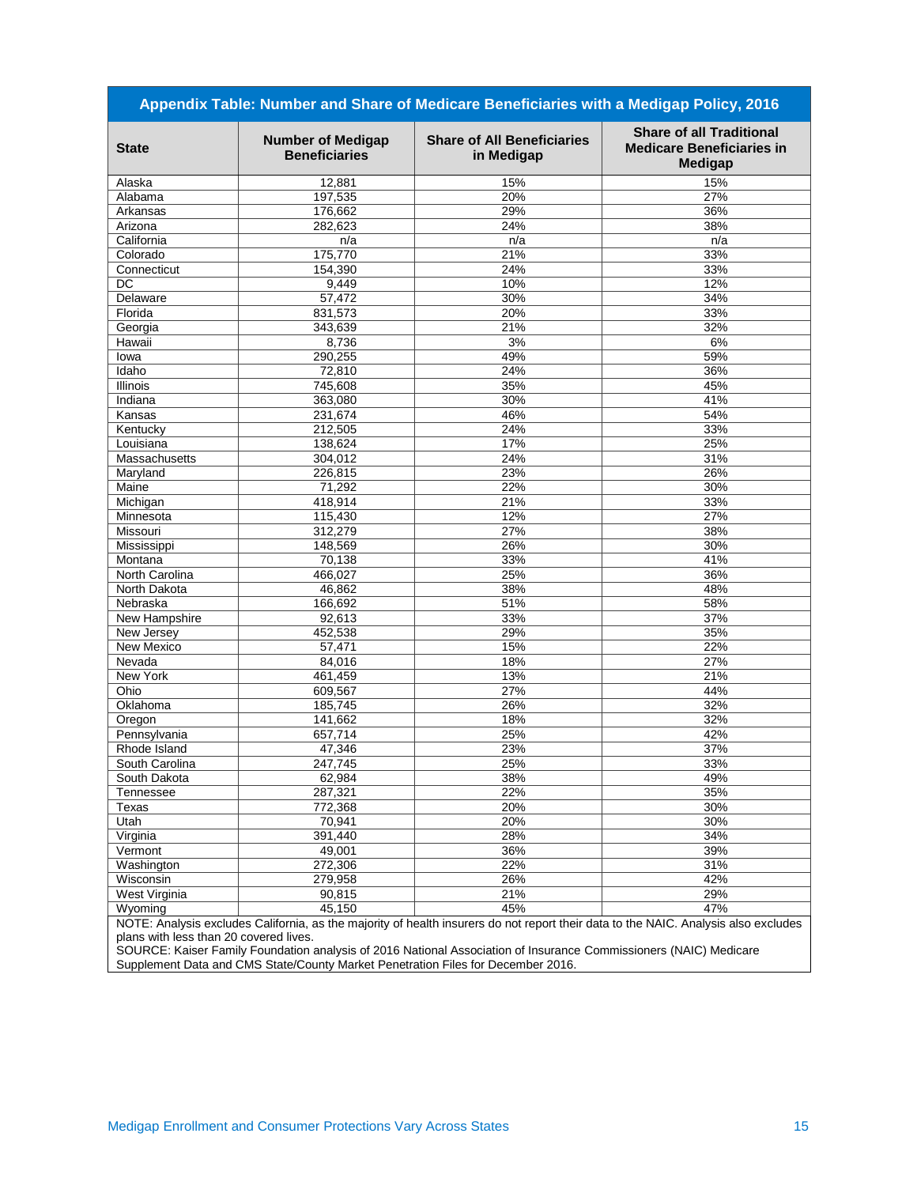| Appendix Table: Number and Share of Medicare Beneficiaries with a Medigap Policy, 2016 |                                                  |                                                 |                                                                                                                                            |  |  |
|----------------------------------------------------------------------------------------|--------------------------------------------------|-------------------------------------------------|--------------------------------------------------------------------------------------------------------------------------------------------|--|--|
| <b>State</b>                                                                           | <b>Number of Medigap</b><br><b>Beneficiaries</b> | <b>Share of All Beneficiaries</b><br>in Medigap | <b>Share of all Traditional</b><br><b>Medicare Beneficiaries in</b><br><b>Medigap</b>                                                      |  |  |
| Alaska                                                                                 | 12,881                                           | 15%                                             | 15%                                                                                                                                        |  |  |
| Alabama                                                                                | 197,535                                          | 20%                                             | 27%                                                                                                                                        |  |  |
| Arkansas                                                                               | 176,662                                          | 29%                                             | 36%                                                                                                                                        |  |  |
| Arizona                                                                                | 282,623                                          | 24%                                             | 38%                                                                                                                                        |  |  |
| California                                                                             | n/a                                              | n/a                                             | n/a                                                                                                                                        |  |  |
| Colorado                                                                               | 175,770                                          | 21%                                             | 33%                                                                                                                                        |  |  |
| Connecticut                                                                            | 154,390                                          | 24%                                             | 33%                                                                                                                                        |  |  |
| <b>DC</b>                                                                              | 9,449                                            | 10%                                             | 12%                                                                                                                                        |  |  |
| Delaware                                                                               | 57,472                                           | 30%                                             | 34%                                                                                                                                        |  |  |
| Florida                                                                                | 831,573                                          | 20%                                             | 33%                                                                                                                                        |  |  |
| Georgia                                                                                | 343,639                                          | 21%                                             | 32%                                                                                                                                        |  |  |
| Hawaii                                                                                 | 8,736                                            | 3%                                              | 6%                                                                                                                                         |  |  |
| lowa                                                                                   | 290,255                                          | 49%                                             | 59%                                                                                                                                        |  |  |
| Idaho                                                                                  | 72,810                                           | 24%                                             | 36%                                                                                                                                        |  |  |
| Illinois                                                                               | 745,608                                          | 35%                                             | 45%                                                                                                                                        |  |  |
| Indiana                                                                                | 363,080                                          | 30%                                             | 41%                                                                                                                                        |  |  |
| Kansas                                                                                 | 231,674                                          | 46%                                             | 54%                                                                                                                                        |  |  |
| Kentucky                                                                               | 212,505                                          | 24%                                             | 33%                                                                                                                                        |  |  |
| Louisiana                                                                              | 138,624                                          | 17%                                             | 25%                                                                                                                                        |  |  |
| Massachusetts                                                                          | 304,012                                          | 24%                                             | 31%                                                                                                                                        |  |  |
| Maryland                                                                               | 226,815                                          | 23%                                             | 26%                                                                                                                                        |  |  |
| Maine                                                                                  | 71,292                                           | 22%                                             | 30%                                                                                                                                        |  |  |
| Michigan                                                                               | 418,914                                          | 21%                                             | 33%                                                                                                                                        |  |  |
| Minnesota                                                                              | 115,430                                          | 12%                                             | 27%                                                                                                                                        |  |  |
| Missouri                                                                               | 312,279                                          | 27%                                             | 38%                                                                                                                                        |  |  |
| Mississippi                                                                            | 148,569                                          | 26%                                             | 30%                                                                                                                                        |  |  |
| Montana                                                                                | 70,138                                           | 33%                                             | 41%                                                                                                                                        |  |  |
| North Carolina                                                                         | 466,027                                          | 25%                                             | 36%                                                                                                                                        |  |  |
| North Dakota                                                                           | 46,862                                           | 38%                                             | 48%                                                                                                                                        |  |  |
| Nebraska                                                                               | 166,692                                          | 51%                                             | 58%                                                                                                                                        |  |  |
| New Hampshire                                                                          | 92,613                                           | 33%                                             | 37%                                                                                                                                        |  |  |
| New Jersey                                                                             | 452,538                                          | 29%                                             | 35%                                                                                                                                        |  |  |
| <b>New Mexico</b>                                                                      | 57,471                                           | 15%                                             | 22%                                                                                                                                        |  |  |
| Nevada                                                                                 | 84,016                                           | 18%                                             | 27%                                                                                                                                        |  |  |
| New York                                                                               | 461,459                                          | 13%                                             | 21%                                                                                                                                        |  |  |
| Ohio                                                                                   | 609,567                                          | 27%                                             | 44%                                                                                                                                        |  |  |
| Oklahoma                                                                               | 185,745                                          | 26%                                             | 32%                                                                                                                                        |  |  |
| Oregon                                                                                 | 141,662                                          | 18%                                             | 32%                                                                                                                                        |  |  |
| Pennsylvania                                                                           | 657,714                                          | 25%                                             | 42%                                                                                                                                        |  |  |
| Rhode Island                                                                           | 47,346                                           | 23%                                             | 37%                                                                                                                                        |  |  |
| South Carolina                                                                         | 247,745                                          | 25%                                             | 33%                                                                                                                                        |  |  |
| South Dakota                                                                           | 62,984                                           | 38%                                             | 49%                                                                                                                                        |  |  |
|                                                                                        | 287,321                                          | 22%                                             | 35%                                                                                                                                        |  |  |
| Tennessee                                                                              |                                                  |                                                 |                                                                                                                                            |  |  |
| Texas                                                                                  | 772,368                                          | 20%                                             | 30%                                                                                                                                        |  |  |
| Utah                                                                                   | 70,941                                           | 20%                                             | 30%<br>34%                                                                                                                                 |  |  |
| Virginia                                                                               | 391,440<br>49,001                                | 28%                                             |                                                                                                                                            |  |  |
| Vermont                                                                                |                                                  | 36%                                             | 39%                                                                                                                                        |  |  |
| Washington                                                                             | 272,306                                          | 22%                                             | 31%                                                                                                                                        |  |  |
| Wisconsin                                                                              | 279,958                                          | 26%                                             | 42%                                                                                                                                        |  |  |
| West Virginia                                                                          | 90,815                                           | 21%                                             | 29%                                                                                                                                        |  |  |
| Wyoming                                                                                | 45,150                                           | 45%                                             | 47%<br>NOTE: Analysis excludes California, as the majority of bealth insurers do not report their data to the NAIC, Analysis also excludes |  |  |

NOTE: Analysis excludes California, as the majority of health insurers do not report their data to the NAIC. Analysis also excludes plans with less than 20 covered lives.

SOURCE: Kaiser Family Foundation analysis of 2016 National Association of Insurance Commissioners (NAIC) Medicare Supplement Data and CMS State/County Market Penetration Files for December 2016.